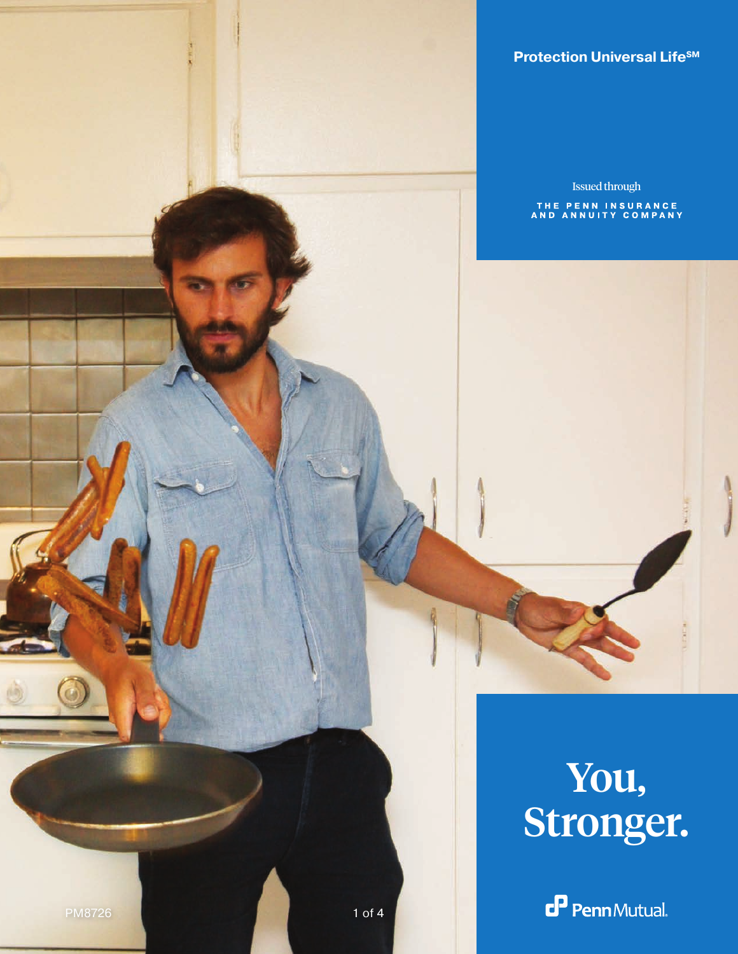**Universal Life® Protection Universal LifeSM**

Issued through

THE PENN INSURANCE<br>AND ANNUITY COMPANY

## You, Stronger.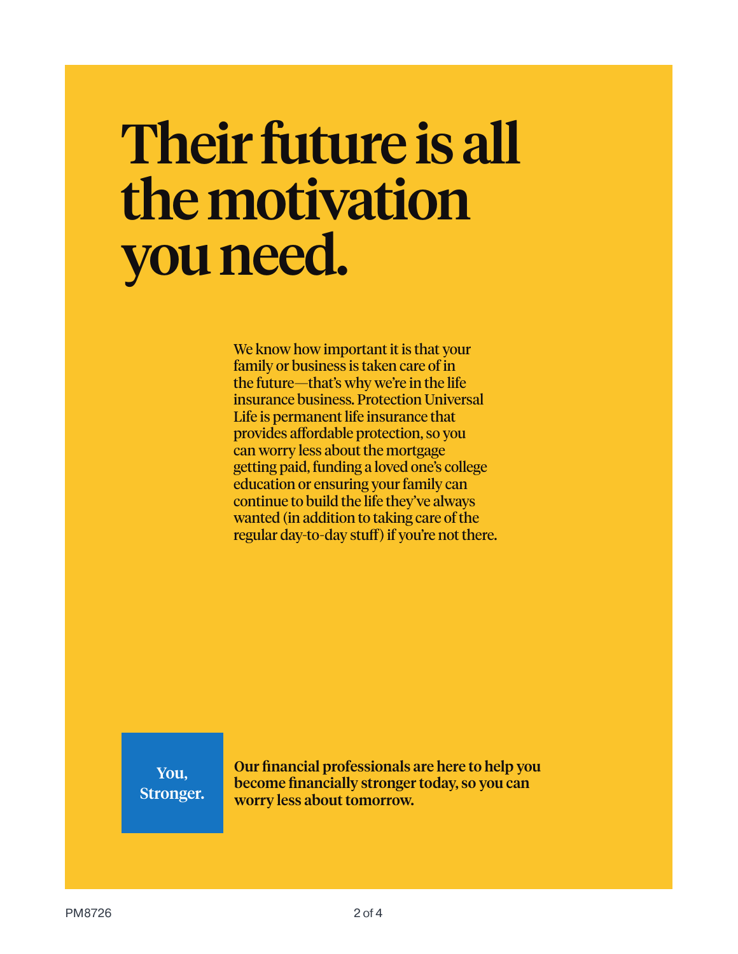# Their future is all the motivation you need.

We know how important it is that your family or business is taken care of in the future—that's why we're in the life insurance business. Protection Universal Life is permanent life insurance that provides affordable protection, so you can worry less about the mortgage getting paid, funding a loved one's college education or ensuring your family can continue to build the life they've always wanted (in addition to taking care of the regular day-to-day stuff) if you're not there.

You, Stronger. Our financial professionals are here to help you become financially stronger today, so you can worry less about tomorrow.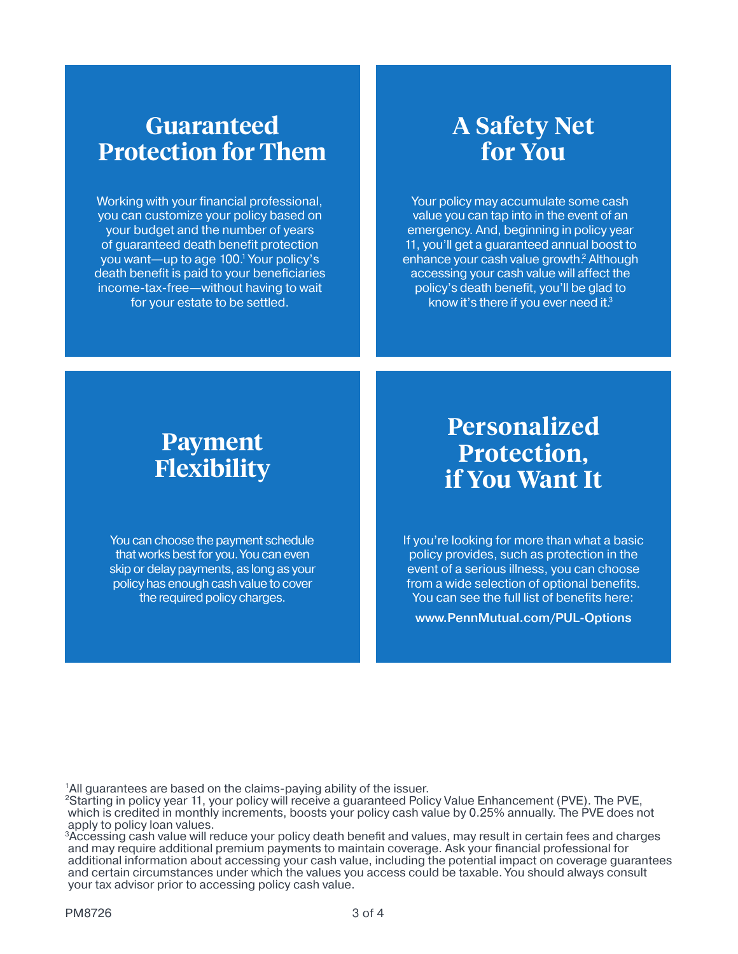#### **Guaranteed Protection for Them**

Working with your financial professional, you can customize your policy based on your budget and the number of years of guaranteed death benefit protection you want—up to age 100.1 Your policy's death benefit is paid to your beneficiaries income-tax-free—without having to wait for your estate to be settled.

## **A Safety Net for You**

Your policy may accumulate some cash value you can tap into in the event of an emergency. And, beginning in policy year 11, you'll get a guaranteed annual boost to enhance your cash value growth.<sup>2</sup> Although accessing your cash value will affect the policy's death benefit, you'll be glad to know it's there if you ever need it.3

## **Payment Flexibility**

You can choose the payment schedule that works best for you. You can even skip or delay payments, as long as your policy has enough cash value to cover the required policy charges.

#### **Personalized Protection, if You Want It**

If you're looking for more than what a basic policy provides, such as protection in the event of a serious illness, you can choose from a wide selection of optional benefits. You can see the full list of benefits here:

www.PennMutual.com/PUL-Options

<sup>1</sup>All guarantees are based on the claims-paying ability of the issuer.

2Starting in policy year 11, your policy will receive a guaranteed Policy Value Enhancement (PVE). The PVE, which is credited in monthly increments, boosts your policy cash value by 0.25% annually. The PVE does not apply to policy loan values.

3Accessing cash value will reduce your policy death benefit and values, may result in certain fees and charges and may require additional premium payments to maintain coverage. Ask your financial professional for additional information about accessing your cash value, including the potential impact on coverage guarantees and certain circumstances under which the values you access could be taxable. You should always consult your tax advisor prior to accessing policy cash value.